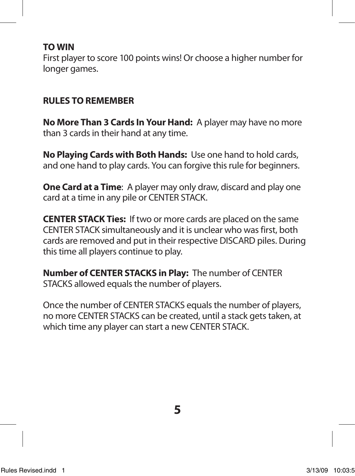#### **TO WIN**

First player to score 100 points wins! Or choose a higher number for longer games.

#### **RULES TO REMEMBER**

**No More Than 3 Cards In Your Hand:** A player may have no more than 3 cards in their hand at any time.

**No Playing Cards with Both Hands:** Use one hand to hold cards, and one hand to play cards. You can forgive this rule for beginners.

**One Card at a Time**: A player may only draw, discard and play one card at a time in any pile or CENTER STACK.

**CENTER STACK Ties:** If two or more cards are placed on the same CENTER STACK simultaneously and it is unclear who was first, both cards are removed and put in their respective DISCARD piles. During this time all players continue to play.

**Number of CENTER STACKS in Play:** The number of CENTER STACKS allowed equals the number of players.

Once the number of CENTER STACKS equals the number of players, no more CENTER STACKS can be created, until a stack gets taken, at which time any player can start a new CENTER STACK.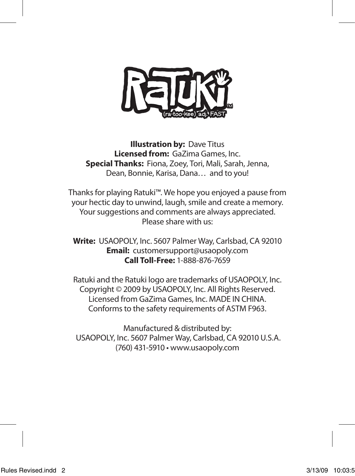

**Illustration by: Dave Titus Licensed from:** GaZima Games, Inc. **Special Thanks:** Fiona, Zoey, Tori, Mali, Sarah, Jenna, Dean, Bonnie, Karisa, Dana… and to you!

Thanks for playing Ratuki™. We hope you enjoyed a pause from your hectic day to unwind, laugh, smile and create a memory. Your suggestions and comments are always appreciated. Please share with us:

**Write:** USAOPOLY, Inc. 5607 Palmer Way, Carlsbad, CA 92010 **Email:** customersupport@usaopoly.com **Call Toll-Free:** 1-888-876-7659

Ratuki and the Ratuki logo are trademarks of USAOPOLY, Inc. Copyright © 2009 by USAOPOLY, Inc. All Rights Reserved. Licensed from GaZima Games, Inc. MADE IN CHINA. Conforms to the safety requirements of ASTM F963.

Manufactured & distributed by: USAOPOLY, Inc. 5607 Palmer Way, Carlsbad, CA 92010 U.S.A. (760) 431-5910 • www.usaopoly.com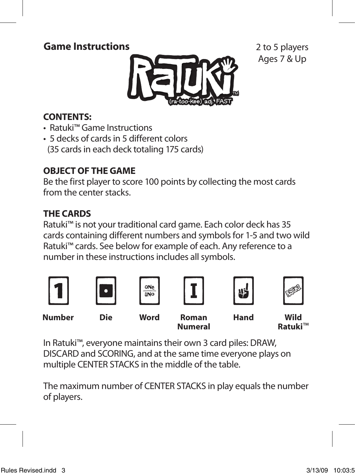## **Game Instructions**



2 to 5 players Ages 7 & Up

### **CONTENTS:**

- Ratuki™ Game Instructions
- 5 decks of cards in 5 different colors (35 cards in each deck totaling 175 cards)

## **OBJECT OF THE GAME**

Be the first player to score 100 points by collecting the most cards from the center stacks.

## **THE CARDS**

Ratuki™ is not your traditional card game. Each color deck has 35 cards containing different numbers and symbols for 1-5 and two wild Ratuki™ cards. See below for example of each. Any reference to a number in these instructions includes all symbols.



In Ratuki™, everyone maintains their own 3 card piles: DRAW, DISCARD and SCORING, and at the same time everyone plays on multiple CENTER STACKS in the middle of the table.

The maximum number of CENTER STACKS in play equals the number of players.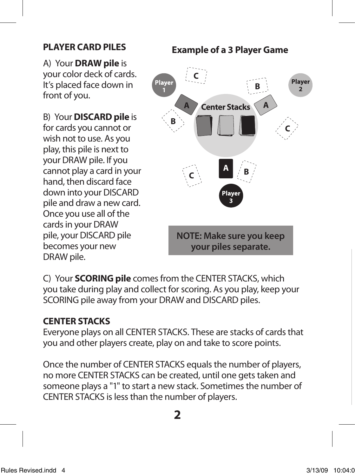#### **PLAYER CARD PILES**

A) Your **DRAW pile** is your color deck of cards. It's placed face down in front of you.

B) Your **DISCARD pile** is for cards you cannot or wish not to use. As you play, this pile is next to your DRAW pile. If you cannot play a card in your hand, then discard face down into your DISCARD pile and draw a new card. Once you use all of the cards in your DRAW pile, your DISCARD pile becomes your new DRAW pile.

# **Example of a 3 Player Game C** Player Player **B A Center Stacks A B C <sup>A</sup> <sup>B</sup> <sup>C</sup> NOTE: Make sure you keep your piles separate.**

C) Your **SCORING pile** comes from the CENTER STACKS, which you take during play and collect for scoring. As you play, keep your SCORING pile away from your DRAW and DISCARD piles.

## **CENTER STACKS**

Everyone plays on all CENTER STACKS. These are stacks of cards that you and other players create, play on and take to score points.

Once the number of CENTER STACKS equals the number of players, no more CENTER STACKS can be created, until one gets taken and someone plays a "1" to start a new stack. Sometimes the number of CENTER STACKS is less than the number of players.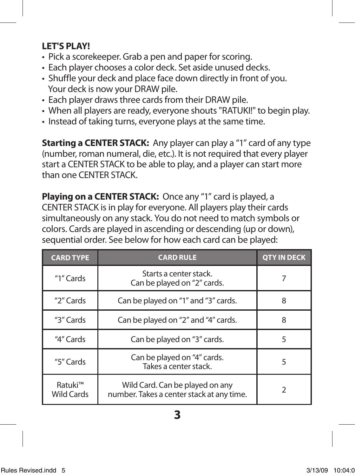## **LET'S PLAY!**

- Pick a scorekeeper. Grab a pen and paper for scoring.
- Each player chooses a color deck. Set aside unused decks.
- Shuffle your deck and place face down directly in front of you. Your deck is now your DRAW pile.
- Each player draws three cards from their DRAW pile.
- When all players are ready, everyone shouts "RATUKI!" to begin play.
- Instead of taking turns, everyone plays at the same time.

**Starting a CENTER STACK:** Any player can play a "1" card of any type (number, roman numeral, die, etc.). It is not required that every player start a CENTER STACK to be able to play, and a player can start more than one CENTER STACK.

**Playing on a CENTER STACK:** Once any "1" card is played, a CENTER STACK is in play for everyone. All players play their cards simultaneously on any stack. You do not need to match symbols or colors. Cards are played in ascending or descending (up or down), sequential order. See below for how each card can be played:

| <b>CARD TYPE</b>             | <b>CARD RULE</b>                                                             | <b>OTY IN DECK</b> |
|------------------------------|------------------------------------------------------------------------------|--------------------|
| "1" $C$ ards                 | Starts a center stack.<br>Can be played on "2" cards.                        |                    |
| "2" Cards                    | Can be played on "1" and "3" cards.                                          | 8                  |
| "3" Cards                    | Can be played on "2" and "4" cards.                                          | 8                  |
| "4" Cards                    | Can be played on "3" cards.                                                  | 5                  |
| "5" Cards                    | Can be played on "4" cards.<br>Takes a center stack.                         | 5                  |
| Ratuki™<br><b>Wild Cards</b> | Wild Card. Can be played on any<br>number. Takes a center stack at any time. |                    |